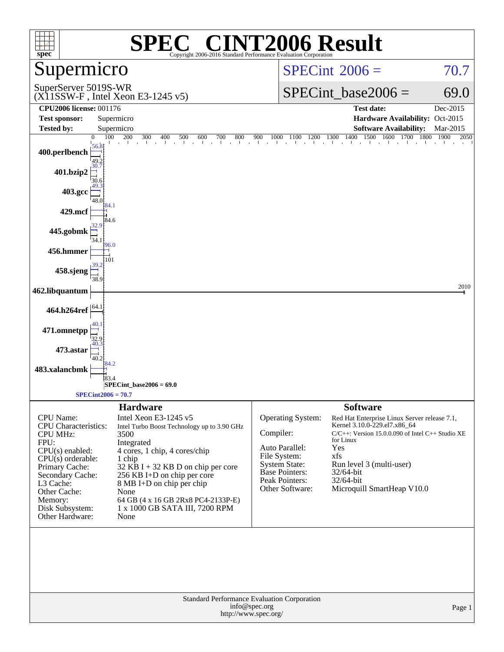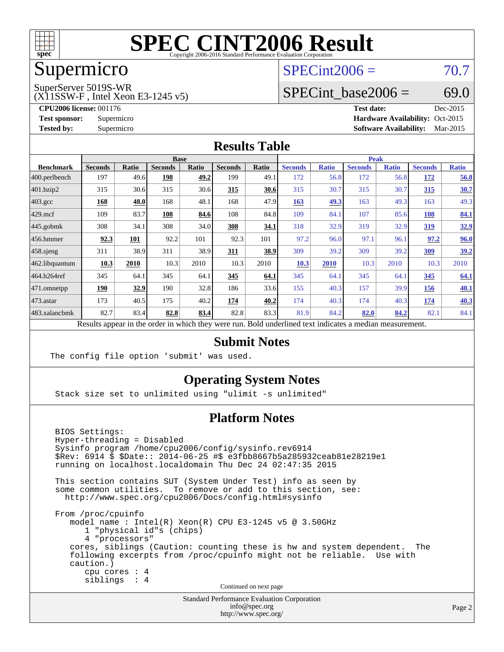

# Supermicro

### $SPECint2006 = 70.7$  $SPECint2006 = 70.7$

SuperServer 5019S-WR

(X11SSW-F , Intel Xeon E3-1245 v5)

SPECint base2006 =  $69.0$ 

**[CPU2006 license:](http://www.spec.org/auto/cpu2006/Docs/result-fields.html#CPU2006license)** 001176 **[Test date:](http://www.spec.org/auto/cpu2006/Docs/result-fields.html#Testdate)** Dec-2015 **[Test sponsor:](http://www.spec.org/auto/cpu2006/Docs/result-fields.html#Testsponsor)** Supermicro Supermicro **[Hardware Availability:](http://www.spec.org/auto/cpu2006/Docs/result-fields.html#HardwareAvailability)** Oct-2015 **[Tested by:](http://www.spec.org/auto/cpu2006/Docs/result-fields.html#Testedby)** Supermicro **Supermicro [Software Availability:](http://www.spec.org/auto/cpu2006/Docs/result-fields.html#SoftwareAvailability)** Mar-2015

#### **[Results Table](http://www.spec.org/auto/cpu2006/Docs/result-fields.html#ResultsTable)**

|                                                                                                          | <b>Base</b>    |       |                |       |                |       | <b>Peak</b>    |              |                |              |                |              |
|----------------------------------------------------------------------------------------------------------|----------------|-------|----------------|-------|----------------|-------|----------------|--------------|----------------|--------------|----------------|--------------|
| <b>Benchmark</b>                                                                                         | <b>Seconds</b> | Ratio | <b>Seconds</b> | Ratio | <b>Seconds</b> | Ratio | <b>Seconds</b> | <b>Ratio</b> | <b>Seconds</b> | <b>Ratio</b> | <b>Seconds</b> | <b>Ratio</b> |
| 400.perlbench                                                                                            | 197            | 49.6  | 198            | 49.2  | 199            | 49.1  | 172            | 56.8         | 172            | 56.8         | 172            | 56.8         |
| 401.bzip2                                                                                                | 315            | 30.6  | 315            | 30.6  | 315            | 30.6  | 315            | 30.7         | 315            | 30.7         | 315            | 30.7         |
| $403.\mathrm{gcc}$                                                                                       | 168            | 48.0  | 168            | 48.1  | 168            | 47.9  | 163            | 49.3         | 163            | 49.3         | 163            | 49.3         |
| $429$ mcf                                                                                                | 109            | 83.7  | 108            | 84.6  | 108            | 84.8  | 109            | 84.1         | 107            | 85.6         | <b>108</b>     | 84.1         |
| $445$ .gobmk                                                                                             | 308            | 34.1  | 308            | 34.0  | 308            | 34.1  | 318            | 32.9         | 319            | 32.9         | <u>319</u>     | 32.9         |
| $456.$ hmmer                                                                                             | 92.3           | 101   | 92.2           | 101   | 92.3           | 101   | 97.2           | 96.0         | 97.1           | 96.1         | 97.2           | 96.0         |
| $458$ .sjeng                                                                                             | 311            | 38.9  | 311            | 38.9  | 311            | 38.9  | 309            | 39.2         | 309            | 39.2         | 309            | 39.2         |
| 462.libquantum                                                                                           | 10.3           | 2010  | 10.3           | 2010  | 10.3           | 2010  | 10.3           | 2010         | 10.3           | 2010         | 10.3           | 2010         |
| 464.h264ref                                                                                              | 345            | 64.1  | 345            | 64.1  | 345            | 64.1  | 345            | 64.1         | 345            | 64.1         | 345            | 64.1         |
| 471.omnetpp                                                                                              | 190            | 32.9  | 190            | 32.8  | 186            | 33.6  | 155            | 40.3         | 157            | 39.9         | 156            | 40.1         |
| $473.$ astar                                                                                             | 173            | 40.5  | 175            | 40.2  | 174            | 40.2  | 174            | 40.3         | 174            | 40.3         | 174            | 40.3         |
| 483.xalancbmk                                                                                            | 82.7           | 83.4  | 82.8           | 83.4  | 82.8           | 83.3  | 81.9           | 84.2         | 82.0           | 84.2         | 82.1           | 84.1         |
| Results appear in the order in which they were run. Bold underlined text indicates a median measurement. |                |       |                |       |                |       |                |              |                |              |                |              |

#### **[Submit Notes](http://www.spec.org/auto/cpu2006/Docs/result-fields.html#SubmitNotes)**

The config file option 'submit' was used.

#### **[Operating System Notes](http://www.spec.org/auto/cpu2006/Docs/result-fields.html#OperatingSystemNotes)**

Stack size set to unlimited using "ulimit -s unlimited"

#### **[Platform Notes](http://www.spec.org/auto/cpu2006/Docs/result-fields.html#PlatformNotes)**

 BIOS Settings: Hyper-threading = Disabled Sysinfo program /home/cpu2006/config/sysinfo.rev6914 \$Rev: 6914 \$ \$Date:: 2014-06-25 #\$ e3fbb8667b5a285932ceab81e28219e1 running on localhost.localdomain Thu Dec 24 02:47:35 2015 This section contains SUT (System Under Test) info as seen by some common utilities. To remove or add to this section, see: <http://www.spec.org/cpu2006/Docs/config.html#sysinfo> From /proc/cpuinfo model name : Intel(R) Xeon(R) CPU E3-1245 v5 @ 3.50GHz 1 "physical id"s (chips) 4 "processors" cores, siblings (Caution: counting these is hw and system dependent. The following excerpts from /proc/cpuinfo might not be reliable. Use with caution.) cpu cores : 4 siblings : 4 Continued on next page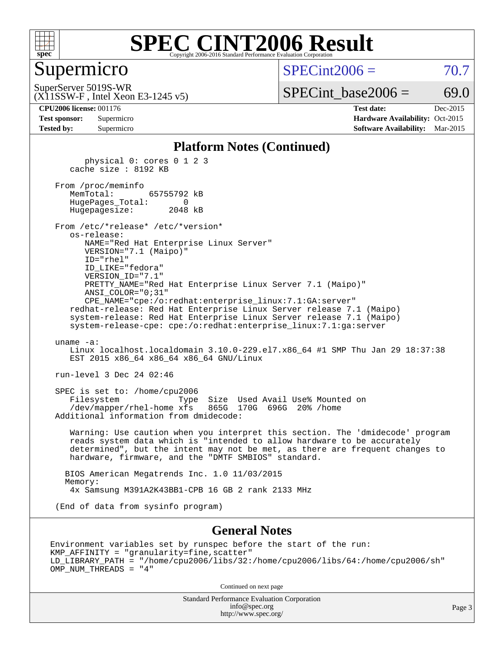

### Supermicro

 $SPECint2006 = 70.7$  $SPECint2006 = 70.7$ 

(X11SSW-F , Intel Xeon E3-1245 v5) SuperServer 5019S-WR

 $SPECTnt\_base2006 = 69.0$ 

**[CPU2006 license:](http://www.spec.org/auto/cpu2006/Docs/result-fields.html#CPU2006license)** 001176 **[Test date:](http://www.spec.org/auto/cpu2006/Docs/result-fields.html#Testdate)** Dec-2015 **[Test sponsor:](http://www.spec.org/auto/cpu2006/Docs/result-fields.html#Testsponsor)** Supermicro Supermicro **[Hardware Availability:](http://www.spec.org/auto/cpu2006/Docs/result-fields.html#HardwareAvailability)** Oct-2015 **[Tested by:](http://www.spec.org/auto/cpu2006/Docs/result-fields.html#Testedby)** Supermicro **Supermicro [Software Availability:](http://www.spec.org/auto/cpu2006/Docs/result-fields.html#SoftwareAvailability)** Mar-2015

#### **[Platform Notes \(Continued\)](http://www.spec.org/auto/cpu2006/Docs/result-fields.html#PlatformNotes)**

 physical 0: cores 0 1 2 3 cache size : 8192 KB

 From /proc/meminfo MemTotal: 65755792 kB HugePages\_Total: 0 Hugepagesize: 2048 kB

 From /etc/\*release\* /etc/\*version\* os-release: NAME="Red Hat Enterprise Linux Server" VERSION="7.1 (Maipo)"

 ID="rhel" ID\_LIKE="fedora" VERSION\_ID="7.1" PRETTY\_NAME="Red Hat Enterprise Linux Server 7.1 (Maipo)" ANSI\_COLOR="0;31" CPE\_NAME="cpe:/o:redhat:enterprise\_linux:7.1:GA:server"

 redhat-release: Red Hat Enterprise Linux Server release 7.1 (Maipo) system-release: Red Hat Enterprise Linux Server release 7.1 (Maipo) system-release-cpe: cpe:/o:redhat:enterprise\_linux:7.1:ga:server

uname -a:

 Linux localhost.localdomain 3.10.0-229.el7.x86\_64 #1 SMP Thu Jan 29 18:37:38 EST 2015 x86 64 x86 64 x86 64 GNU/Linux

run-level 3 Dec 24 02:46

 SPEC is set to: /home/cpu2006 Filesystem Type Size Used Avail Use% Mounted on /dev/mapper/rhel-home xfs 865G 170G 696G 20% /home Additional information from dmidecode:

 Warning: Use caution when you interpret this section. The 'dmidecode' program reads system data which is "intended to allow hardware to be accurately determined", but the intent may not be met, as there are frequent changes to hardware, firmware, and the "DMTF SMBIOS" standard.

 BIOS American Megatrends Inc. 1.0 11/03/2015 Memory: 4x Samsung M391A2K43BB1-CPB 16 GB 2 rank 2133 MHz

(End of data from sysinfo program)

#### **[General Notes](http://www.spec.org/auto/cpu2006/Docs/result-fields.html#GeneralNotes)**

Environment variables set by runspec before the start of the run: KMP\_AFFINITY = "granularity=fine,scatter" LD\_LIBRARY\_PATH = "/home/cpu2006/libs/32:/home/cpu2006/libs/64:/home/cpu2006/sh" OMP\_NUM\_THREADS = "4"

Continued on next page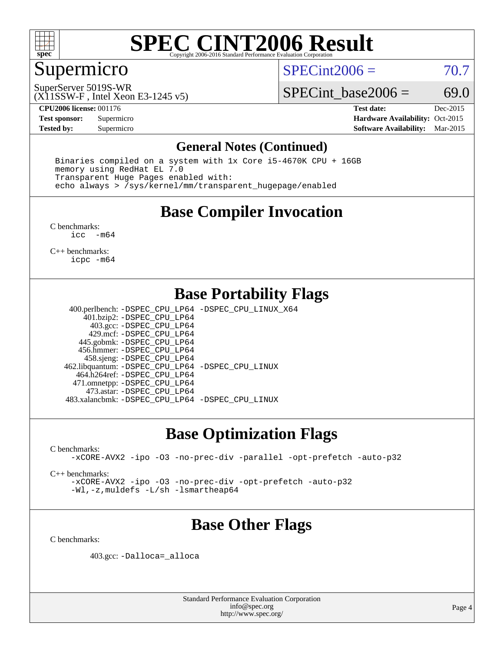

# Supermicro

 $SPECint2006 = 70.7$  $SPECint2006 = 70.7$ 

(X11SSW-F , Intel Xeon E3-1245 v5) SuperServer 5019S-WR

SPECint base2006 =  $69.0$ 

**[CPU2006 license:](http://www.spec.org/auto/cpu2006/Docs/result-fields.html#CPU2006license)** 001176 **[Test date:](http://www.spec.org/auto/cpu2006/Docs/result-fields.html#Testdate)** Dec-2015 **[Test sponsor:](http://www.spec.org/auto/cpu2006/Docs/result-fields.html#Testsponsor)** Supermicro Supermicro **[Hardware Availability:](http://www.spec.org/auto/cpu2006/Docs/result-fields.html#HardwareAvailability)** Oct-2015 **[Tested by:](http://www.spec.org/auto/cpu2006/Docs/result-fields.html#Testedby)** Supermicro **Supermicro [Software Availability:](http://www.spec.org/auto/cpu2006/Docs/result-fields.html#SoftwareAvailability)** Mar-2015

#### **[General Notes \(Continued\)](http://www.spec.org/auto/cpu2006/Docs/result-fields.html#GeneralNotes)**

 Binaries compiled on a system with 1x Core i5-4670K CPU + 16GB memory using RedHat EL 7.0 Transparent Huge Pages enabled with: echo always > /sys/kernel/mm/transparent\_hugepage/enabled

### **[Base Compiler Invocation](http://www.spec.org/auto/cpu2006/Docs/result-fields.html#BaseCompilerInvocation)**

[C benchmarks](http://www.spec.org/auto/cpu2006/Docs/result-fields.html#Cbenchmarks): [icc -m64](http://www.spec.org/cpu2006/results/res2016q1/cpu2006-20151225-38537.flags.html#user_CCbase_intel_icc_64bit_f346026e86af2a669e726fe758c88044)

[C++ benchmarks:](http://www.spec.org/auto/cpu2006/Docs/result-fields.html#CXXbenchmarks) [icpc -m64](http://www.spec.org/cpu2006/results/res2016q1/cpu2006-20151225-38537.flags.html#user_CXXbase_intel_icpc_64bit_fc66a5337ce925472a5c54ad6a0de310)

### **[Base Portability Flags](http://www.spec.org/auto/cpu2006/Docs/result-fields.html#BasePortabilityFlags)**

 400.perlbench: [-DSPEC\\_CPU\\_LP64](http://www.spec.org/cpu2006/results/res2016q1/cpu2006-20151225-38537.flags.html#b400.perlbench_basePORTABILITY_DSPEC_CPU_LP64) [-DSPEC\\_CPU\\_LINUX\\_X64](http://www.spec.org/cpu2006/results/res2016q1/cpu2006-20151225-38537.flags.html#b400.perlbench_baseCPORTABILITY_DSPEC_CPU_LINUX_X64) 401.bzip2: [-DSPEC\\_CPU\\_LP64](http://www.spec.org/cpu2006/results/res2016q1/cpu2006-20151225-38537.flags.html#suite_basePORTABILITY401_bzip2_DSPEC_CPU_LP64) 403.gcc: [-DSPEC\\_CPU\\_LP64](http://www.spec.org/cpu2006/results/res2016q1/cpu2006-20151225-38537.flags.html#suite_basePORTABILITY403_gcc_DSPEC_CPU_LP64) 429.mcf: [-DSPEC\\_CPU\\_LP64](http://www.spec.org/cpu2006/results/res2016q1/cpu2006-20151225-38537.flags.html#suite_basePORTABILITY429_mcf_DSPEC_CPU_LP64) 445.gobmk: [-DSPEC\\_CPU\\_LP64](http://www.spec.org/cpu2006/results/res2016q1/cpu2006-20151225-38537.flags.html#suite_basePORTABILITY445_gobmk_DSPEC_CPU_LP64) 456.hmmer: [-DSPEC\\_CPU\\_LP64](http://www.spec.org/cpu2006/results/res2016q1/cpu2006-20151225-38537.flags.html#suite_basePORTABILITY456_hmmer_DSPEC_CPU_LP64) 458.sjeng: [-DSPEC\\_CPU\\_LP64](http://www.spec.org/cpu2006/results/res2016q1/cpu2006-20151225-38537.flags.html#suite_basePORTABILITY458_sjeng_DSPEC_CPU_LP64) 462.libquantum: [-DSPEC\\_CPU\\_LP64](http://www.spec.org/cpu2006/results/res2016q1/cpu2006-20151225-38537.flags.html#suite_basePORTABILITY462_libquantum_DSPEC_CPU_LP64) [-DSPEC\\_CPU\\_LINUX](http://www.spec.org/cpu2006/results/res2016q1/cpu2006-20151225-38537.flags.html#b462.libquantum_baseCPORTABILITY_DSPEC_CPU_LINUX) 464.h264ref: [-DSPEC\\_CPU\\_LP64](http://www.spec.org/cpu2006/results/res2016q1/cpu2006-20151225-38537.flags.html#suite_basePORTABILITY464_h264ref_DSPEC_CPU_LP64) 471.omnetpp: [-DSPEC\\_CPU\\_LP64](http://www.spec.org/cpu2006/results/res2016q1/cpu2006-20151225-38537.flags.html#suite_basePORTABILITY471_omnetpp_DSPEC_CPU_LP64) 473.astar: [-DSPEC\\_CPU\\_LP64](http://www.spec.org/cpu2006/results/res2016q1/cpu2006-20151225-38537.flags.html#suite_basePORTABILITY473_astar_DSPEC_CPU_LP64) 483.xalancbmk: [-DSPEC\\_CPU\\_LP64](http://www.spec.org/cpu2006/results/res2016q1/cpu2006-20151225-38537.flags.html#suite_basePORTABILITY483_xalancbmk_DSPEC_CPU_LP64) [-DSPEC\\_CPU\\_LINUX](http://www.spec.org/cpu2006/results/res2016q1/cpu2006-20151225-38537.flags.html#b483.xalancbmk_baseCXXPORTABILITY_DSPEC_CPU_LINUX)

### **[Base Optimization Flags](http://www.spec.org/auto/cpu2006/Docs/result-fields.html#BaseOptimizationFlags)**

[C benchmarks](http://www.spec.org/auto/cpu2006/Docs/result-fields.html#Cbenchmarks):

[-xCORE-AVX2](http://www.spec.org/cpu2006/results/res2016q1/cpu2006-20151225-38537.flags.html#user_CCbase_f-xAVX2_5f5fc0cbe2c9f62c816d3e45806c70d7) [-ipo](http://www.spec.org/cpu2006/results/res2016q1/cpu2006-20151225-38537.flags.html#user_CCbase_f-ipo) [-O3](http://www.spec.org/cpu2006/results/res2016q1/cpu2006-20151225-38537.flags.html#user_CCbase_f-O3) [-no-prec-div](http://www.spec.org/cpu2006/results/res2016q1/cpu2006-20151225-38537.flags.html#user_CCbase_f-no-prec-div) [-parallel](http://www.spec.org/cpu2006/results/res2016q1/cpu2006-20151225-38537.flags.html#user_CCbase_f-parallel) [-opt-prefetch](http://www.spec.org/cpu2006/results/res2016q1/cpu2006-20151225-38537.flags.html#user_CCbase_f-opt-prefetch) [-auto-p32](http://www.spec.org/cpu2006/results/res2016q1/cpu2006-20151225-38537.flags.html#user_CCbase_f-auto-p32)

[C++ benchmarks:](http://www.spec.org/auto/cpu2006/Docs/result-fields.html#CXXbenchmarks)

[-xCORE-AVX2](http://www.spec.org/cpu2006/results/res2016q1/cpu2006-20151225-38537.flags.html#user_CXXbase_f-xAVX2_5f5fc0cbe2c9f62c816d3e45806c70d7) [-ipo](http://www.spec.org/cpu2006/results/res2016q1/cpu2006-20151225-38537.flags.html#user_CXXbase_f-ipo) [-O3](http://www.spec.org/cpu2006/results/res2016q1/cpu2006-20151225-38537.flags.html#user_CXXbase_f-O3) [-no-prec-div](http://www.spec.org/cpu2006/results/res2016q1/cpu2006-20151225-38537.flags.html#user_CXXbase_f-no-prec-div) [-opt-prefetch](http://www.spec.org/cpu2006/results/res2016q1/cpu2006-20151225-38537.flags.html#user_CXXbase_f-opt-prefetch) [-auto-p32](http://www.spec.org/cpu2006/results/res2016q1/cpu2006-20151225-38537.flags.html#user_CXXbase_f-auto-p32) [-Wl,-z,muldefs](http://www.spec.org/cpu2006/results/res2016q1/cpu2006-20151225-38537.flags.html#user_CXXbase_link_force_multiple1_74079c344b956b9658436fd1b6dd3a8a) [-L/sh -lsmartheap64](http://www.spec.org/cpu2006/results/res2016q1/cpu2006-20151225-38537.flags.html#user_CXXbase_SmartHeap64_ed4ef857ce90951921efb0d91eb88472)

# **[Base Other Flags](http://www.spec.org/auto/cpu2006/Docs/result-fields.html#BaseOtherFlags)**

[C benchmarks](http://www.spec.org/auto/cpu2006/Docs/result-fields.html#Cbenchmarks):

403.gcc: [-Dalloca=\\_alloca](http://www.spec.org/cpu2006/results/res2016q1/cpu2006-20151225-38537.flags.html#b403.gcc_baseEXTRA_CFLAGS_Dalloca_be3056838c12de2578596ca5467af7f3)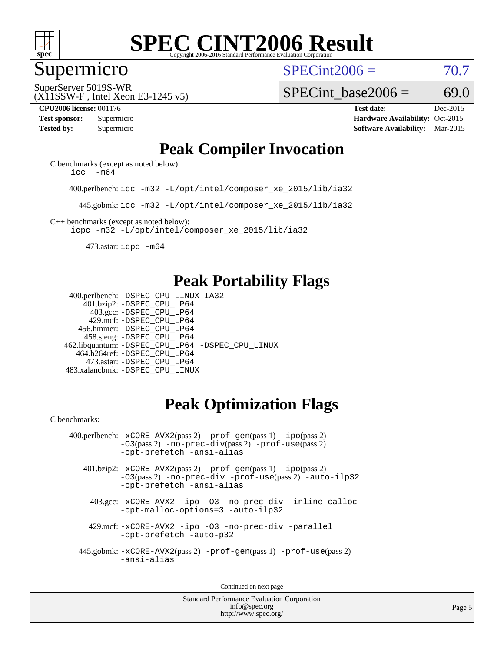

### Supermicro

 $SPECint2006 = 70.7$  $SPECint2006 = 70.7$ 

(X11SSW-F , Intel Xeon E3-1245 v5) SuperServer 5019S-WR

SPECint base2006 =  $69.0$ 

**[CPU2006 license:](http://www.spec.org/auto/cpu2006/Docs/result-fields.html#CPU2006license)** 001176 **[Test date:](http://www.spec.org/auto/cpu2006/Docs/result-fields.html#Testdate)** Dec-2015 **[Test sponsor:](http://www.spec.org/auto/cpu2006/Docs/result-fields.html#Testsponsor)** Supermicro Supermicro **[Hardware Availability:](http://www.spec.org/auto/cpu2006/Docs/result-fields.html#HardwareAvailability)** Oct-2015 **[Tested by:](http://www.spec.org/auto/cpu2006/Docs/result-fields.html#Testedby)** Supermicro **Supermicro [Software Availability:](http://www.spec.org/auto/cpu2006/Docs/result-fields.html#SoftwareAvailability)** Mar-2015

# **[Peak Compiler Invocation](http://www.spec.org/auto/cpu2006/Docs/result-fields.html#PeakCompilerInvocation)**

[C benchmarks \(except as noted below\)](http://www.spec.org/auto/cpu2006/Docs/result-fields.html#Cbenchmarksexceptasnotedbelow): [icc -m64](http://www.spec.org/cpu2006/results/res2016q1/cpu2006-20151225-38537.flags.html#user_CCpeak_intel_icc_64bit_f346026e86af2a669e726fe758c88044)

400.perlbench: [icc -m32 -L/opt/intel/composer\\_xe\\_2015/lib/ia32](http://www.spec.org/cpu2006/results/res2016q1/cpu2006-20151225-38537.flags.html#user_peakCCLD400_perlbench_intel_icc_011b86df29f8c679b747245588698a4d)

445.gobmk: [icc -m32 -L/opt/intel/composer\\_xe\\_2015/lib/ia32](http://www.spec.org/cpu2006/results/res2016q1/cpu2006-20151225-38537.flags.html#user_peakCCLD445_gobmk_intel_icc_011b86df29f8c679b747245588698a4d)

[C++ benchmarks \(except as noted below\):](http://www.spec.org/auto/cpu2006/Docs/result-fields.html#CXXbenchmarksexceptasnotedbelow) [icpc -m32 -L/opt/intel/composer\\_xe\\_2015/lib/ia32](http://www.spec.org/cpu2006/results/res2016q1/cpu2006-20151225-38537.flags.html#user_CXXpeak_intel_icpc_c2c99686a1a582c3e0de0b4806b02cea)

473.astar: [icpc -m64](http://www.spec.org/cpu2006/results/res2016q1/cpu2006-20151225-38537.flags.html#user_peakCXXLD473_astar_intel_icpc_64bit_fc66a5337ce925472a5c54ad6a0de310)

# **[Peak Portability Flags](http://www.spec.org/auto/cpu2006/Docs/result-fields.html#PeakPortabilityFlags)**

 400.perlbench: [-DSPEC\\_CPU\\_LINUX\\_IA32](http://www.spec.org/cpu2006/results/res2016q1/cpu2006-20151225-38537.flags.html#b400.perlbench_peakCPORTABILITY_DSPEC_CPU_LINUX_IA32) 401.bzip2: [-DSPEC\\_CPU\\_LP64](http://www.spec.org/cpu2006/results/res2016q1/cpu2006-20151225-38537.flags.html#suite_peakPORTABILITY401_bzip2_DSPEC_CPU_LP64) 403.gcc: [-DSPEC\\_CPU\\_LP64](http://www.spec.org/cpu2006/results/res2016q1/cpu2006-20151225-38537.flags.html#suite_peakPORTABILITY403_gcc_DSPEC_CPU_LP64) 429.mcf: [-DSPEC\\_CPU\\_LP64](http://www.spec.org/cpu2006/results/res2016q1/cpu2006-20151225-38537.flags.html#suite_peakPORTABILITY429_mcf_DSPEC_CPU_LP64) 456.hmmer: [-DSPEC\\_CPU\\_LP64](http://www.spec.org/cpu2006/results/res2016q1/cpu2006-20151225-38537.flags.html#suite_peakPORTABILITY456_hmmer_DSPEC_CPU_LP64) 458.sjeng: [-DSPEC\\_CPU\\_LP64](http://www.spec.org/cpu2006/results/res2016q1/cpu2006-20151225-38537.flags.html#suite_peakPORTABILITY458_sjeng_DSPEC_CPU_LP64) 462.libquantum: [-DSPEC\\_CPU\\_LP64](http://www.spec.org/cpu2006/results/res2016q1/cpu2006-20151225-38537.flags.html#suite_peakPORTABILITY462_libquantum_DSPEC_CPU_LP64) [-DSPEC\\_CPU\\_LINUX](http://www.spec.org/cpu2006/results/res2016q1/cpu2006-20151225-38537.flags.html#b462.libquantum_peakCPORTABILITY_DSPEC_CPU_LINUX) 464.h264ref: [-DSPEC\\_CPU\\_LP64](http://www.spec.org/cpu2006/results/res2016q1/cpu2006-20151225-38537.flags.html#suite_peakPORTABILITY464_h264ref_DSPEC_CPU_LP64) 473.astar: [-DSPEC\\_CPU\\_LP64](http://www.spec.org/cpu2006/results/res2016q1/cpu2006-20151225-38537.flags.html#suite_peakPORTABILITY473_astar_DSPEC_CPU_LP64) 483.xalancbmk: [-DSPEC\\_CPU\\_LINUX](http://www.spec.org/cpu2006/results/res2016q1/cpu2006-20151225-38537.flags.html#b483.xalancbmk_peakCXXPORTABILITY_DSPEC_CPU_LINUX)

# **[Peak Optimization Flags](http://www.spec.org/auto/cpu2006/Docs/result-fields.html#PeakOptimizationFlags)**

[C benchmarks](http://www.spec.org/auto/cpu2006/Docs/result-fields.html#Cbenchmarks):

 400.perlbench: [-xCORE-AVX2](http://www.spec.org/cpu2006/results/res2016q1/cpu2006-20151225-38537.flags.html#user_peakPASS2_CFLAGSPASS2_LDCFLAGS400_perlbench_f-xAVX2_5f5fc0cbe2c9f62c816d3e45806c70d7)(pass 2) [-prof-gen](http://www.spec.org/cpu2006/results/res2016q1/cpu2006-20151225-38537.flags.html#user_peakPASS1_CFLAGSPASS1_LDCFLAGS400_perlbench_prof_gen_e43856698f6ca7b7e442dfd80e94a8fc)(pass 1) [-ipo](http://www.spec.org/cpu2006/results/res2016q1/cpu2006-20151225-38537.flags.html#user_peakPASS2_CFLAGSPASS2_LDCFLAGS400_perlbench_f-ipo)(pass 2) [-O3](http://www.spec.org/cpu2006/results/res2016q1/cpu2006-20151225-38537.flags.html#user_peakPASS2_CFLAGSPASS2_LDCFLAGS400_perlbench_f-O3)(pass 2) [-no-prec-div](http://www.spec.org/cpu2006/results/res2016q1/cpu2006-20151225-38537.flags.html#user_peakPASS2_CFLAGSPASS2_LDCFLAGS400_perlbench_f-no-prec-div)(pass 2) [-prof-use](http://www.spec.org/cpu2006/results/res2016q1/cpu2006-20151225-38537.flags.html#user_peakPASS2_CFLAGSPASS2_LDCFLAGS400_perlbench_prof_use_bccf7792157ff70d64e32fe3e1250b55)(pass 2) [-opt-prefetch](http://www.spec.org/cpu2006/results/res2016q1/cpu2006-20151225-38537.flags.html#user_peakCOPTIMIZE400_perlbench_f-opt-prefetch) [-ansi-alias](http://www.spec.org/cpu2006/results/res2016q1/cpu2006-20151225-38537.flags.html#user_peakCOPTIMIZE400_perlbench_f-ansi-alias)

 401.bzip2: [-xCORE-AVX2](http://www.spec.org/cpu2006/results/res2016q1/cpu2006-20151225-38537.flags.html#user_peakPASS2_CFLAGSPASS2_LDCFLAGS401_bzip2_f-xAVX2_5f5fc0cbe2c9f62c816d3e45806c70d7)(pass 2) [-prof-gen](http://www.spec.org/cpu2006/results/res2016q1/cpu2006-20151225-38537.flags.html#user_peakPASS1_CFLAGSPASS1_LDCFLAGS401_bzip2_prof_gen_e43856698f6ca7b7e442dfd80e94a8fc)(pass 1) [-ipo](http://www.spec.org/cpu2006/results/res2016q1/cpu2006-20151225-38537.flags.html#user_peakPASS2_CFLAGSPASS2_LDCFLAGS401_bzip2_f-ipo)(pass 2) [-O3](http://www.spec.org/cpu2006/results/res2016q1/cpu2006-20151225-38537.flags.html#user_peakPASS2_CFLAGSPASS2_LDCFLAGS401_bzip2_f-O3)(pass 2) [-no-prec-div](http://www.spec.org/cpu2006/results/res2016q1/cpu2006-20151225-38537.flags.html#user_peakCOPTIMIZEPASS2_CFLAGSPASS2_LDCFLAGS401_bzip2_f-no-prec-div) [-prof-use](http://www.spec.org/cpu2006/results/res2016q1/cpu2006-20151225-38537.flags.html#user_peakPASS2_CFLAGSPASS2_LDCFLAGS401_bzip2_prof_use_bccf7792157ff70d64e32fe3e1250b55)(pass 2) [-auto-ilp32](http://www.spec.org/cpu2006/results/res2016q1/cpu2006-20151225-38537.flags.html#user_peakCOPTIMIZE401_bzip2_f-auto-ilp32) [-opt-prefetch](http://www.spec.org/cpu2006/results/res2016q1/cpu2006-20151225-38537.flags.html#user_peakCOPTIMIZE401_bzip2_f-opt-prefetch) [-ansi-alias](http://www.spec.org/cpu2006/results/res2016q1/cpu2006-20151225-38537.flags.html#user_peakCOPTIMIZE401_bzip2_f-ansi-alias)

 403.gcc: [-xCORE-AVX2](http://www.spec.org/cpu2006/results/res2016q1/cpu2006-20151225-38537.flags.html#user_peakCOPTIMIZE403_gcc_f-xAVX2_5f5fc0cbe2c9f62c816d3e45806c70d7) [-ipo](http://www.spec.org/cpu2006/results/res2016q1/cpu2006-20151225-38537.flags.html#user_peakCOPTIMIZE403_gcc_f-ipo) [-O3](http://www.spec.org/cpu2006/results/res2016q1/cpu2006-20151225-38537.flags.html#user_peakCOPTIMIZE403_gcc_f-O3) [-no-prec-div](http://www.spec.org/cpu2006/results/res2016q1/cpu2006-20151225-38537.flags.html#user_peakCOPTIMIZE403_gcc_f-no-prec-div) [-inline-calloc](http://www.spec.org/cpu2006/results/res2016q1/cpu2006-20151225-38537.flags.html#user_peakCOPTIMIZE403_gcc_f-inline-calloc) [-opt-malloc-options=3](http://www.spec.org/cpu2006/results/res2016q1/cpu2006-20151225-38537.flags.html#user_peakCOPTIMIZE403_gcc_f-opt-malloc-options_13ab9b803cf986b4ee62f0a5998c2238) [-auto-ilp32](http://www.spec.org/cpu2006/results/res2016q1/cpu2006-20151225-38537.flags.html#user_peakCOPTIMIZE403_gcc_f-auto-ilp32)

 429.mcf: [-xCORE-AVX2](http://www.spec.org/cpu2006/results/res2016q1/cpu2006-20151225-38537.flags.html#user_peakCOPTIMIZE429_mcf_f-xAVX2_5f5fc0cbe2c9f62c816d3e45806c70d7) [-ipo](http://www.spec.org/cpu2006/results/res2016q1/cpu2006-20151225-38537.flags.html#user_peakCOPTIMIZE429_mcf_f-ipo) [-O3](http://www.spec.org/cpu2006/results/res2016q1/cpu2006-20151225-38537.flags.html#user_peakCOPTIMIZE429_mcf_f-O3) [-no-prec-div](http://www.spec.org/cpu2006/results/res2016q1/cpu2006-20151225-38537.flags.html#user_peakCOPTIMIZE429_mcf_f-no-prec-div) [-parallel](http://www.spec.org/cpu2006/results/res2016q1/cpu2006-20151225-38537.flags.html#user_peakCOPTIMIZE429_mcf_f-parallel) [-opt-prefetch](http://www.spec.org/cpu2006/results/res2016q1/cpu2006-20151225-38537.flags.html#user_peakCOPTIMIZE429_mcf_f-opt-prefetch) [-auto-p32](http://www.spec.org/cpu2006/results/res2016q1/cpu2006-20151225-38537.flags.html#user_peakCOPTIMIZE429_mcf_f-auto-p32)

 445.gobmk: [-xCORE-AVX2](http://www.spec.org/cpu2006/results/res2016q1/cpu2006-20151225-38537.flags.html#user_peakPASS2_CFLAGSPASS2_LDCFLAGS445_gobmk_f-xAVX2_5f5fc0cbe2c9f62c816d3e45806c70d7)(pass 2) [-prof-gen](http://www.spec.org/cpu2006/results/res2016q1/cpu2006-20151225-38537.flags.html#user_peakPASS1_CFLAGSPASS1_LDCFLAGS445_gobmk_prof_gen_e43856698f6ca7b7e442dfd80e94a8fc)(pass 1) [-prof-use](http://www.spec.org/cpu2006/results/res2016q1/cpu2006-20151225-38537.flags.html#user_peakPASS2_CFLAGSPASS2_LDCFLAGS445_gobmk_prof_use_bccf7792157ff70d64e32fe3e1250b55)(pass 2) [-ansi-alias](http://www.spec.org/cpu2006/results/res2016q1/cpu2006-20151225-38537.flags.html#user_peakCOPTIMIZE445_gobmk_f-ansi-alias)

Continued on next page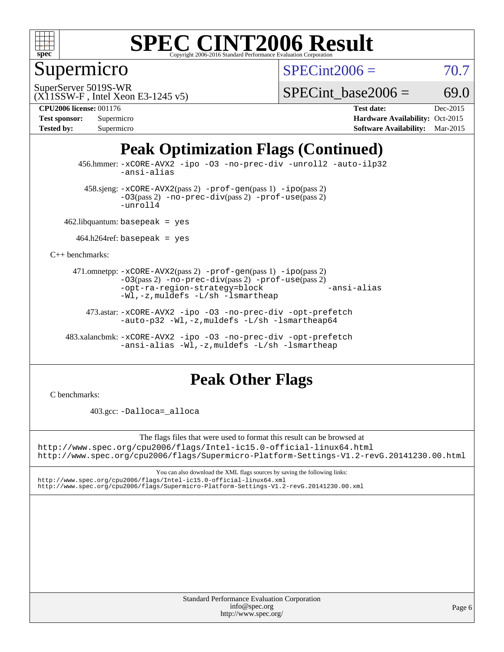

# Supermicro

 $SPECint2006 = 70.7$  $SPECint2006 = 70.7$ 

(X11SSW-F , Intel Xeon E3-1245 v5) SuperServer 5019S-WR

SPECint base2006 =  $69.0$ 

**[CPU2006 license:](http://www.spec.org/auto/cpu2006/Docs/result-fields.html#CPU2006license)** 001176 **[Test date:](http://www.spec.org/auto/cpu2006/Docs/result-fields.html#Testdate)** Dec-2015

| <b>Test sponsor:</b> | Supermicro |
|----------------------|------------|
| <b>Tested by:</b>    | Supermicro |

**[Hardware Availability:](http://www.spec.org/auto/cpu2006/Docs/result-fields.html#HardwareAvailability)** Oct-2015 **[Software Availability:](http://www.spec.org/auto/cpu2006/Docs/result-fields.html#SoftwareAvailability)** Mar-2015

# **[Peak Optimization Flags \(Continued\)](http://www.spec.org/auto/cpu2006/Docs/result-fields.html#PeakOptimizationFlags)**

 456.hmmer: [-xCORE-AVX2](http://www.spec.org/cpu2006/results/res2016q1/cpu2006-20151225-38537.flags.html#user_peakCOPTIMIZE456_hmmer_f-xAVX2_5f5fc0cbe2c9f62c816d3e45806c70d7) [-ipo](http://www.spec.org/cpu2006/results/res2016q1/cpu2006-20151225-38537.flags.html#user_peakCOPTIMIZE456_hmmer_f-ipo) [-O3](http://www.spec.org/cpu2006/results/res2016q1/cpu2006-20151225-38537.flags.html#user_peakCOPTIMIZE456_hmmer_f-O3) [-no-prec-div](http://www.spec.org/cpu2006/results/res2016q1/cpu2006-20151225-38537.flags.html#user_peakCOPTIMIZE456_hmmer_f-no-prec-div) [-unroll2](http://www.spec.org/cpu2006/results/res2016q1/cpu2006-20151225-38537.flags.html#user_peakCOPTIMIZE456_hmmer_f-unroll_784dae83bebfb236979b41d2422d7ec2) [-auto-ilp32](http://www.spec.org/cpu2006/results/res2016q1/cpu2006-20151225-38537.flags.html#user_peakCOPTIMIZE456_hmmer_f-auto-ilp32) [-ansi-alias](http://www.spec.org/cpu2006/results/res2016q1/cpu2006-20151225-38537.flags.html#user_peakCOPTIMIZE456_hmmer_f-ansi-alias)

 $458 \text{.}$ sjeng:  $-x \text{CORE-AVX2}(pass 2)$  -prof-qen(pass 1) [-ipo](http://www.spec.org/cpu2006/results/res2016q1/cpu2006-20151225-38537.flags.html#user_peakPASS2_CFLAGSPASS2_LDCFLAGS458_sjeng_f-ipo)(pass 2) [-O3](http://www.spec.org/cpu2006/results/res2016q1/cpu2006-20151225-38537.flags.html#user_peakPASS2_CFLAGSPASS2_LDCFLAGS458_sjeng_f-O3)(pass 2) [-no-prec-div](http://www.spec.org/cpu2006/results/res2016q1/cpu2006-20151225-38537.flags.html#user_peakPASS2_CFLAGSPASS2_LDCFLAGS458_sjeng_f-no-prec-div)(pass 2) [-prof-use](http://www.spec.org/cpu2006/results/res2016q1/cpu2006-20151225-38537.flags.html#user_peakPASS2_CFLAGSPASS2_LDCFLAGS458_sjeng_prof_use_bccf7792157ff70d64e32fe3e1250b55)(pass 2) [-unroll4](http://www.spec.org/cpu2006/results/res2016q1/cpu2006-20151225-38537.flags.html#user_peakCOPTIMIZE458_sjeng_f-unroll_4e5e4ed65b7fd20bdcd365bec371b81f)

462.libquantum: basepeak = yes

 $464.h264$ ref: basepeak = yes

[C++ benchmarks:](http://www.spec.org/auto/cpu2006/Docs/result-fields.html#CXXbenchmarks)

 471.omnetpp: [-xCORE-AVX2](http://www.spec.org/cpu2006/results/res2016q1/cpu2006-20151225-38537.flags.html#user_peakPASS2_CXXFLAGSPASS2_LDCXXFLAGS471_omnetpp_f-xAVX2_5f5fc0cbe2c9f62c816d3e45806c70d7)(pass 2) [-prof-gen](http://www.spec.org/cpu2006/results/res2016q1/cpu2006-20151225-38537.flags.html#user_peakPASS1_CXXFLAGSPASS1_LDCXXFLAGS471_omnetpp_prof_gen_e43856698f6ca7b7e442dfd80e94a8fc)(pass 1) [-ipo](http://www.spec.org/cpu2006/results/res2016q1/cpu2006-20151225-38537.flags.html#user_peakPASS2_CXXFLAGSPASS2_LDCXXFLAGS471_omnetpp_f-ipo)(pass 2) [-O3](http://www.spec.org/cpu2006/results/res2016q1/cpu2006-20151225-38537.flags.html#user_peakPASS2_CXXFLAGSPASS2_LDCXXFLAGS471_omnetpp_f-O3)(pass 2) [-no-prec-div](http://www.spec.org/cpu2006/results/res2016q1/cpu2006-20151225-38537.flags.html#user_peakPASS2_CXXFLAGSPASS2_LDCXXFLAGS471_omnetpp_f-no-prec-div)(pass 2) [-prof-use](http://www.spec.org/cpu2006/results/res2016q1/cpu2006-20151225-38537.flags.html#user_peakPASS2_CXXFLAGSPASS2_LDCXXFLAGS471_omnetpp_prof_use_bccf7792157ff70d64e32fe3e1250b55)(pass 2) [-opt-ra-region-strategy=block](http://www.spec.org/cpu2006/results/res2016q1/cpu2006-20151225-38537.flags.html#user_peakCXXOPTIMIZE471_omnetpp_f-opt-ra-region-strategy_5382940c29ea30302d682fc74bfe0147) [-ansi-alias](http://www.spec.org/cpu2006/results/res2016q1/cpu2006-20151225-38537.flags.html#user_peakCXXOPTIMIZE471_omnetpp_f-ansi-alias) [-Wl,-z,muldefs](http://www.spec.org/cpu2006/results/res2016q1/cpu2006-20151225-38537.flags.html#user_peakEXTRA_LDFLAGS471_omnetpp_link_force_multiple1_74079c344b956b9658436fd1b6dd3a8a) [-L/sh -lsmartheap](http://www.spec.org/cpu2006/results/res2016q1/cpu2006-20151225-38537.flags.html#user_peakEXTRA_LIBS471_omnetpp_SmartHeap_32f6c82aa1ed9c52345d30cf6e4a0499)

 473.astar: [-xCORE-AVX2](http://www.spec.org/cpu2006/results/res2016q1/cpu2006-20151225-38537.flags.html#user_peakCXXOPTIMIZE473_astar_f-xAVX2_5f5fc0cbe2c9f62c816d3e45806c70d7) [-ipo](http://www.spec.org/cpu2006/results/res2016q1/cpu2006-20151225-38537.flags.html#user_peakCXXOPTIMIZE473_astar_f-ipo) [-O3](http://www.spec.org/cpu2006/results/res2016q1/cpu2006-20151225-38537.flags.html#user_peakCXXOPTIMIZE473_astar_f-O3) [-no-prec-div](http://www.spec.org/cpu2006/results/res2016q1/cpu2006-20151225-38537.flags.html#user_peakCXXOPTIMIZE473_astar_f-no-prec-div) [-opt-prefetch](http://www.spec.org/cpu2006/results/res2016q1/cpu2006-20151225-38537.flags.html#user_peakCXXOPTIMIZE473_astar_f-opt-prefetch) [-auto-p32](http://www.spec.org/cpu2006/results/res2016q1/cpu2006-20151225-38537.flags.html#user_peakCXXOPTIMIZE473_astar_f-auto-p32) -Wl,-z, muldefs [-L/sh -lsmartheap64](http://www.spec.org/cpu2006/results/res2016q1/cpu2006-20151225-38537.flags.html#user_peakEXTRA_LIBS473_astar_SmartHeap64_ed4ef857ce90951921efb0d91eb88472)

 483.xalancbmk: [-xCORE-AVX2](http://www.spec.org/cpu2006/results/res2016q1/cpu2006-20151225-38537.flags.html#user_peakCXXOPTIMIZE483_xalancbmk_f-xAVX2_5f5fc0cbe2c9f62c816d3e45806c70d7) [-ipo](http://www.spec.org/cpu2006/results/res2016q1/cpu2006-20151225-38537.flags.html#user_peakCXXOPTIMIZE483_xalancbmk_f-ipo) [-O3](http://www.spec.org/cpu2006/results/res2016q1/cpu2006-20151225-38537.flags.html#user_peakCXXOPTIMIZE483_xalancbmk_f-O3) [-no-prec-div](http://www.spec.org/cpu2006/results/res2016q1/cpu2006-20151225-38537.flags.html#user_peakCXXOPTIMIZE483_xalancbmk_f-no-prec-div) [-opt-prefetch](http://www.spec.org/cpu2006/results/res2016q1/cpu2006-20151225-38537.flags.html#user_peakCXXOPTIMIZE483_xalancbmk_f-opt-prefetch) [-ansi-alias](http://www.spec.org/cpu2006/results/res2016q1/cpu2006-20151225-38537.flags.html#user_peakCXXOPTIMIZE483_xalancbmk_f-ansi-alias) [-Wl,-z,muldefs](http://www.spec.org/cpu2006/results/res2016q1/cpu2006-20151225-38537.flags.html#user_peakEXTRA_LDFLAGS483_xalancbmk_link_force_multiple1_74079c344b956b9658436fd1b6dd3a8a) [-L/sh -lsmartheap](http://www.spec.org/cpu2006/results/res2016q1/cpu2006-20151225-38537.flags.html#user_peakEXTRA_LIBS483_xalancbmk_SmartHeap_32f6c82aa1ed9c52345d30cf6e4a0499)

### **[Peak Other Flags](http://www.spec.org/auto/cpu2006/Docs/result-fields.html#PeakOtherFlags)**

[C benchmarks](http://www.spec.org/auto/cpu2006/Docs/result-fields.html#Cbenchmarks):

403.gcc: [-Dalloca=\\_alloca](http://www.spec.org/cpu2006/results/res2016q1/cpu2006-20151225-38537.flags.html#b403.gcc_peakEXTRA_CFLAGS_Dalloca_be3056838c12de2578596ca5467af7f3)

The flags files that were used to format this result can be browsed at

<http://www.spec.org/cpu2006/flags/Intel-ic15.0-official-linux64.html> <http://www.spec.org/cpu2006/flags/Supermicro-Platform-Settings-V1.2-revG.20141230.00.html>

You can also download the XML flags sources by saving the following links: <http://www.spec.org/cpu2006/flags/Intel-ic15.0-official-linux64.xml> <http://www.spec.org/cpu2006/flags/Supermicro-Platform-Settings-V1.2-revG.20141230.00.xml>